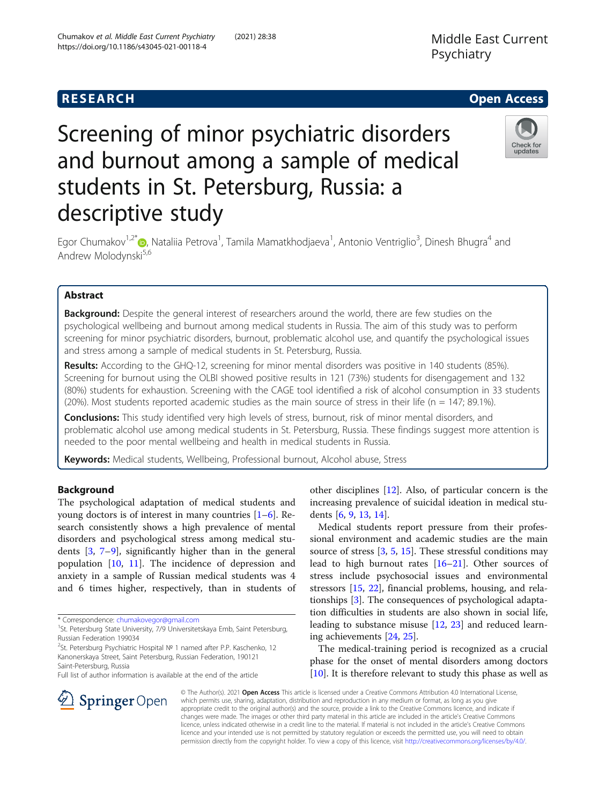Chumakov et al. Middle East Current Psychiatry (2021) 28:38

https://doi.org/10.1186/s43045-021-00118-4

# Screening of minor psychiatric disorders and burnout among a sample of medical students in St. Petersburg, Russia: a descriptive study



Egor Chumakov<sup>1,2[\\*](http://orcid.org/0000-0002-0429-8460)</sup>®, Nataliia Petrova<sup>1</sup>, Tamila Mamatkhodjaeva<sup>1</sup>, Antonio Ventriglio<sup>3</sup>, Dinesh Bhugra<sup>4</sup> and Andrew Molodynski<sup>5,6</sup>

## Abstract

**Background:** Despite the general interest of researchers around the world, there are few studies on the psychological wellbeing and burnout among medical students in Russia. The aim of this study was to perform screening for minor psychiatric disorders, burnout, problematic alcohol use, and quantify the psychological issues and stress among a sample of medical students in St. Petersburg, Russia.

Results: According to the GHQ-12, screening for minor mental disorders was positive in 140 students (85%). Screening for burnout using the OLBI showed positive results in 121 (73%) students for disengagement and 132 (80%) students for exhaustion. Screening with the CAGE tool identified a risk of alcohol consumption in 33 students (20%). Most students reported academic studies as the main source of stress in their life (n = 147; 89.1%).

**Conclusions:** This study identified very high levels of stress, burnout, risk of minor mental disorders, and problematic alcohol use among medical students in St. Petersburg, Russia. These findings suggest more attention is needed to the poor mental wellbeing and health in medical students in Russia.

Keywords: Medical students, Wellbeing, Professional burnout, Alcohol abuse, Stress

### **Background**

The psychological adaptation of medical students and young doctors is of interest in many countries [\[1](#page-5-0)–[6](#page-5-0)]. Research consistently shows a high prevalence of mental disorders and psychological stress among medical students [[3](#page-5-0), [7](#page-5-0)–[9\]](#page-5-0), significantly higher than in the general population [\[10](#page-5-0), [11\]](#page-5-0). The incidence of depression and anxiety in a sample of Russian medical students was 4 and 6 times higher, respectively, than in students of

**Springer** Open

<sup>2</sup>St. Petersburg Psychiatric Hospital № 1 named after P.P. Kaschenko, 12 Kanonerskaya Street, Saint Petersburg, Russian Federation, 190121 Saint-Petersburg, Russia

other disciplines [[12\]](#page-5-0). Also, of particular concern is the increasing prevalence of suicidal ideation in medical students [[6,](#page-5-0) [9,](#page-5-0) [13,](#page-5-0) [14\]](#page-5-0).

Medical students report pressure from their professional environment and academic studies are the main source of stress [\[3,](#page-5-0) [5,](#page-5-0) [15\]](#page-5-0). These stressful conditions may lead to high burnout rates [\[16](#page-5-0)–[21\]](#page-5-0). Other sources of stress include psychosocial issues and environmental stressors [[15,](#page-5-0) [22](#page-5-0)], financial problems, housing, and relationships [[3\]](#page-5-0). The consequences of psychological adaptation difficulties in students are also shown in social life, leading to substance misuse [[12](#page-5-0), [23\]](#page-5-0) and reduced learning achievements [\[24](#page-5-0), [25](#page-5-0)].

The medical-training period is recognized as a crucial phase for the onset of mental disorders among doctors [[10\]](#page-5-0). It is therefore relevant to study this phase as well as

© The Author(s). 2021 Open Access This article is licensed under a Creative Commons Attribution 4.0 International License, which permits use, sharing, adaptation, distribution and reproduction in any medium or format, as long as you give appropriate credit to the original author(s) and the source, provide a link to the Creative Commons licence, and indicate if changes were made. The images or other third party material in this article are included in the article's Creative Commons licence, unless indicated otherwise in a credit line to the material. If material is not included in the article's Creative Commons licence and your intended use is not permitted by statutory regulation or exceeds the permitted use, you will need to obtain permission directly from the copyright holder. To view a copy of this licence, visit <http://creativecommons.org/licenses/by/4.0/>.

<sup>\*</sup> Correspondence: [chumakovegor@gmail.com](mailto:chumakovegor@gmail.com) <sup>1</sup>

<sup>&</sup>lt;sup>1</sup>St. Petersburg State University, 7/9 Universitetskaya Emb, Saint Petersburg, Russian Federation 199034

Full list of author information is available at the end of the article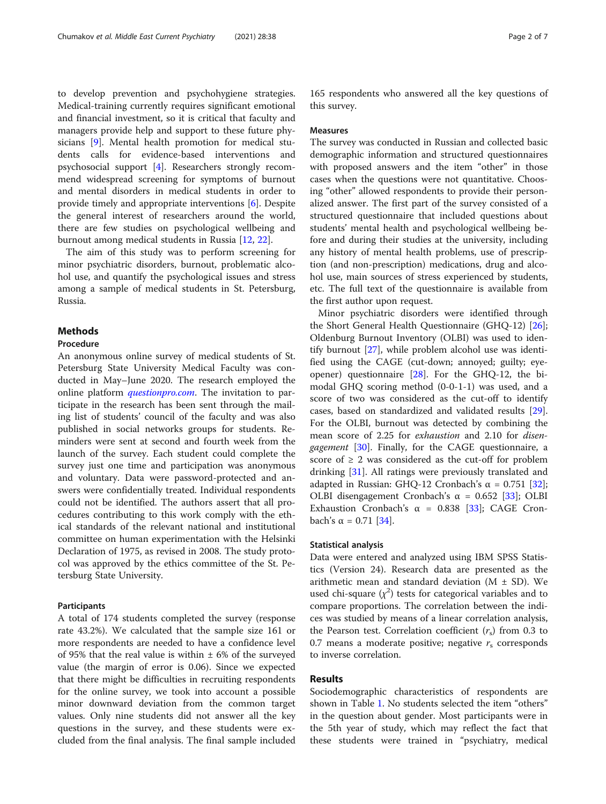to develop prevention and psychohygiene strategies. Medical-training currently requires significant emotional and financial investment, so it is critical that faculty and managers provide help and support to these future physicians [[9\]](#page-5-0). Mental health promotion for medical students calls for evidence-based interventions and psychosocial support [\[4](#page-5-0)]. Researchers strongly recommend widespread screening for symptoms of burnout and mental disorders in medical students in order to provide timely and appropriate interventions [[6](#page-5-0)]. Despite the general interest of researchers around the world, there are few studies on psychological wellbeing and burnout among medical students in Russia [\[12](#page-5-0), [22\]](#page-5-0).

The aim of this study was to perform screening for minor psychiatric disorders, burnout, problematic alcohol use, and quantify the psychological issues and stress among a sample of medical students in St. Petersburg, Russia.

#### Methods

#### Procedure

An anonymous online survey of medical students of St. Petersburg State University Medical Faculty was conducted in May–June 2020. The research employed the online platform *[questionpro.com](http://questionpro.com)*. The invitation to participate in the research has been sent through the mailing list of students' council of the faculty and was also published in social networks groups for students. Reminders were sent at second and fourth week from the launch of the survey. Each student could complete the survey just one time and participation was anonymous and voluntary. Data were password-protected and answers were confidentially treated. Individual respondents could not be identified. The authors assert that all procedures contributing to this work comply with the ethical standards of the relevant national and institutional committee on human experimentation with the Helsinki Declaration of 1975, as revised in 2008. The study protocol was approved by the ethics committee of the St. Petersburg State University.

#### Participants

A total of 174 students completed the survey (response rate 43.2%). We calculated that the sample size 161 or more respondents are needed to have a confidence level of 95% that the real value is within  $\pm$  6% of the surveyed value (the margin of error is 0.06). Since we expected that there might be difficulties in recruiting respondents for the online survey, we took into account a possible minor downward deviation from the common target values. Only nine students did not answer all the key questions in the survey, and these students were excluded from the final analysis. The final sample included

165 respondents who answered all the key questions of this survey.

#### Measures

The survey was conducted in Russian and collected basic demographic information and structured questionnaires with proposed answers and the item "other" in those cases when the questions were not quantitative. Choosing "other" allowed respondents to provide their personalized answer. The first part of the survey consisted of a structured questionnaire that included questions about students' mental health and psychological wellbeing before and during their studies at the university, including any history of mental health problems, use of prescription (and non-prescription) medications, drug and alcohol use, main sources of stress experienced by students, etc. The full text of the questionnaire is available from the first author upon request.

Minor psychiatric disorders were identified through the Short General Health Questionnaire (GHQ-12) [\[26](#page-5-0)]; Oldenburg Burnout Inventory (OLBI) was used to identify burnout [\[27\]](#page-5-0), while problem alcohol use was identified using the CAGE (cut-down; annoyed; guilty; eyeopener) questionnaire  $[28]$ . For the GHQ-12, the bimodal GHQ scoring method (0-0-1-1) was used, and a score of two was considered as the cut-off to identify cases, based on standardized and validated results [\[29](#page-5-0)]. For the OLBI, burnout was detected by combining the mean score of 2.25 for exhaustion and 2.10 for disen-gagement [[30\]](#page-6-0). Finally, for the CAGE questionnaire, a score of  $\geq 2$  was considered as the cut-off for problem drinking [[31\]](#page-6-0). All ratings were previously translated and adapted in Russian: GHQ-12 Cronbach's  $\alpha = 0.751$  [\[32](#page-6-0)]; OLBI disengagement Cronbach's  $\alpha$  = 0.652 [[33](#page-6-0)]; OLBI Exhaustion Cronbach's  $\alpha$  = 0.838 [\[33\]](#page-6-0); CAGE Cron-bach's α = 0.71 [[34](#page-6-0)].

#### Statistical analysis

Data were entered and analyzed using IBM SPSS Statistics (Version 24). Research data are presented as the arithmetic mean and standard deviation ( $M \pm SD$ ). We used chi-square  $(\chi^2)$  tests for categorical variables and to compare proportions. The correlation between the indices was studied by means of a linear correlation analysis, the Pearson test. Correlation coefficient  $(r<sub>s</sub>)$  from 0.3 to 0.7 means a moderate positive; negative  $r_s$  corresponds to inverse correlation.

#### Results

Sociodemographic characteristics of respondents are shown in Table [1.](#page-2-0) No students selected the item "others" in the question about gender. Most participants were in the 5th year of study, which may reflect the fact that these students were trained in "psychiatry, medical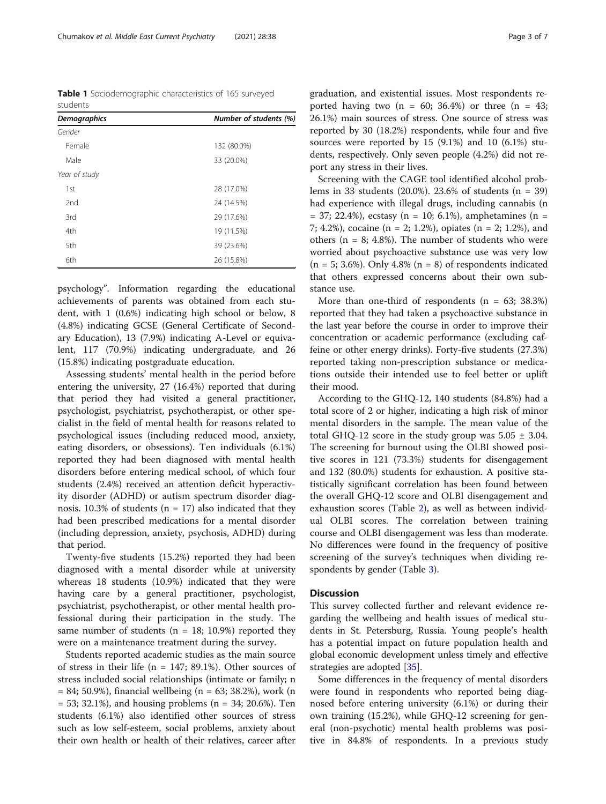<span id="page-2-0"></span>Table 1 Sociodemographic characteristics of 165 surveyed students

| <b>Demographics</b> | Number of students (%) |  |  |
|---------------------|------------------------|--|--|
| Gender              |                        |  |  |
| Female              | 132 (80.0%)            |  |  |
| Male                | 33 (20.0%)             |  |  |
| Year of study       |                        |  |  |
| 1st                 | 28 (17.0%)             |  |  |
| 2nd                 | 24 (14.5%)             |  |  |
| 3rd                 | 29 (17.6%)             |  |  |
| 4th                 | 19 (11.5%)             |  |  |
| 5th                 | 39 (23.6%)             |  |  |
| 6th                 | 26 (15.8%)             |  |  |

psychology". Information regarding the educational achievements of parents was obtained from each student, with 1 (0.6%) indicating high school or below, 8 (4.8%) indicating GCSE (General Certificate of Secondary Education), 13 (7.9%) indicating A-Level or equivalent, 117 (70.9%) indicating undergraduate, and 26 (15.8%) indicating postgraduate education.

Assessing students' mental health in the period before entering the university, 27 (16.4%) reported that during that period they had visited a general practitioner, psychologist, psychiatrist, psychotherapist, or other specialist in the field of mental health for reasons related to psychological issues (including reduced mood, anxiety, eating disorders, or obsessions). Ten individuals (6.1%) reported they had been diagnosed with mental health disorders before entering medical school, of which four students (2.4%) received an attention deficit hyperactivity disorder (ADHD) or autism spectrum disorder diagnosis. 10.3% of students ( $n = 17$ ) also indicated that they had been prescribed medications for a mental disorder (including depression, anxiety, psychosis, ADHD) during that period.

Twenty-five students (15.2%) reported they had been diagnosed with a mental disorder while at university whereas 18 students (10.9%) indicated that they were having care by a general practitioner, psychologist, psychiatrist, psychotherapist, or other mental health professional during their participation in the study. The same number of students ( $n = 18$ ; 10.9%) reported they were on a maintenance treatment during the survey.

Students reported academic studies as the main source of stress in their life ( $n = 147$ ; 89.1%). Other sources of stress included social relationships (intimate or family; n  $= 84$ ; 50.9%), financial wellbeing (n = 63; 38.2%), work (n  $= 53$ ; 32.1%), and housing problems (n  $= 34$ ; 20.6%). Ten students (6.1%) also identified other sources of stress such as low self-esteem, social problems, anxiety about their own health or health of their relatives, career after graduation, and existential issues. Most respondents reported having two  $(n = 60; 36.4%)$  or three  $(n = 43;$ 26.1%) main sources of stress. One source of stress was reported by 30 (18.2%) respondents, while four and five sources were reported by 15 (9.1%) and 10 (6.1%) students, respectively. Only seven people (4.2%) did not report any stress in their lives.

Screening with the CAGE tool identified alcohol problems in 33 students (20.0%). 23.6% of students (n = 39) had experience with illegal drugs, including cannabis (n  $= 37; 22.4\%)$ , ecstasy (n  $= 10; 6.1\%)$ , amphetamines (n  $=$ 7; 4.2%), cocaine (n = 2; 1.2%), opiates (n = 2; 1.2%), and others ( $n = 8$ ; 4.8%). The number of students who were worried about psychoactive substance use was very low  $(n = 5; 3.6\%).$  Only 4.8%  $(n = 8)$  of respondents indicated that others expressed concerns about their own substance use.

More than one-third of respondents  $(n = 63; 38.3%)$ reported that they had taken a psychoactive substance in the last year before the course in order to improve their concentration or academic performance (excluding caffeine or other energy drinks). Forty-five students (27.3%) reported taking non-prescription substance or medications outside their intended use to feel better or uplift their mood.

According to the GHQ-12, 140 students (84.8%) had a total score of 2 or higher, indicating a high risk of minor mental disorders in the sample. The mean value of the total GHQ-12 score in the study group was  $5.05 \pm 3.04$ . The screening for burnout using the OLBI showed positive scores in 121 (73.3%) students for disengagement and 132 (80.0%) students for exhaustion. A positive statistically significant correlation has been found between the overall GHQ-12 score and OLBI disengagement and exhaustion scores (Table [2](#page-3-0)), as well as between individual OLBI scores. The correlation between training course and OLBI disengagement was less than moderate. No differences were found in the frequency of positive screening of the survey's techniques when dividing respondents by gender (Table [3](#page-3-0)).

#### **Discussion**

This survey collected further and relevant evidence regarding the wellbeing and health issues of medical students in St. Petersburg, Russia. Young people's health has a potential impact on future population health and global economic development unless timely and effective strategies are adopted [[35\]](#page-6-0).

Some differences in the frequency of mental disorders were found in respondents who reported being diagnosed before entering university (6.1%) or during their own training (15.2%), while GHQ-12 screening for general (non-psychotic) mental health problems was positive in 84.8% of respondents. In a previous study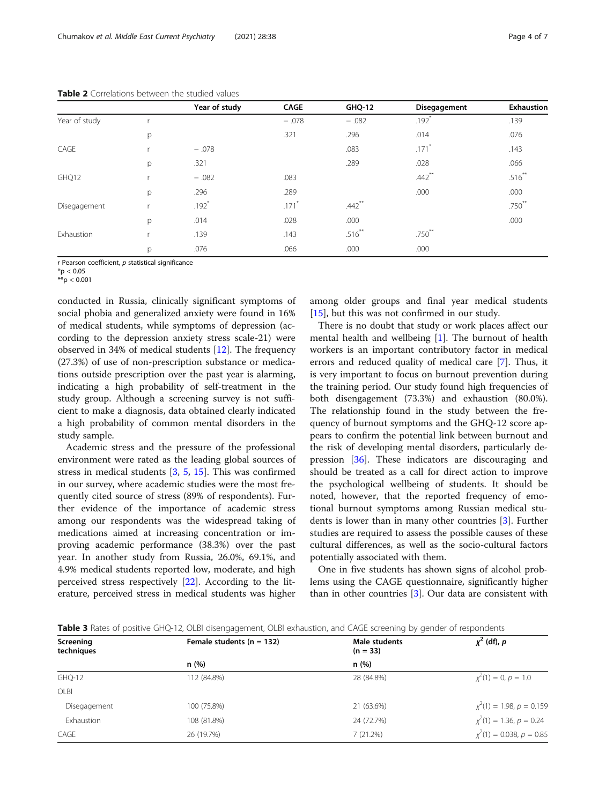|               |   | Year of study | CAGE                | <b>GHQ-12</b> | Disegagement         | Exhaustion |
|---------------|---|---------------|---------------------|---------------|----------------------|------------|
| Year of study |   |               | $-.078$             | $-.082$       | $.192*$              | .139       |
|               | p |               | .321                | .296          | .014                 | .076       |
| CAGE          |   | $-.078$       |                     | .083          | $.171*$              | .143       |
|               | p | .321          |                     | .289          | .028                 | .066       |
| GHQ12         |   | $-.082$       | .083                |               | $.442$ <sup>**</sup> | $.516***$  |
|               | p | .296          | .289                |               | .000                 | .000       |
| Disegagement  |   | $.192*$       | $.171$ <sup>*</sup> | $.442$ **     |                      | $.750***$  |
|               | p | .014          | .028                | .000          |                      | .000       |
| Exhaustion    | × | .139          | .143                | $.516***$     | $.750***$            |            |
|               | p | .076          | .066                | .000          | .000                 |            |

<span id="page-3-0"></span>Table 2 Correlations between the studied values

 $r$  Pearson coefficient,  $p$  statistical significance

 $*$ p < 0.05

 $**p < 0.001$ 

conducted in Russia, clinically significant symptoms of social phobia and generalized anxiety were found in 16% of medical students, while symptoms of depression (according to the depression anxiety stress scale-21) were observed in 34% of medical students [[12\]](#page-5-0). The frequency (27.3%) of use of non-prescription substance or medications outside prescription over the past year is alarming, indicating a high probability of self-treatment in the study group. Although a screening survey is not sufficient to make a diagnosis, data obtained clearly indicated a high probability of common mental disorders in the study sample.

Academic stress and the pressure of the professional environment were rated as the leading global sources of stress in medical students [[3,](#page-5-0) [5,](#page-5-0) [15](#page-5-0)]. This was confirmed in our survey, where academic studies were the most frequently cited source of stress (89% of respondents). Further evidence of the importance of academic stress among our respondents was the widespread taking of medications aimed at increasing concentration or improving academic performance (38.3%) over the past year. In another study from Russia, 26.0%, 69.1%, and 4.9% medical students reported low, moderate, and high perceived stress respectively [\[22\]](#page-5-0). According to the literature, perceived stress in medical students was higher

among older groups and final year medical students [[15\]](#page-5-0), but this was not confirmed in our study.

There is no doubt that study or work places affect our mental health and wellbeing [\[1](#page-5-0)]. The burnout of health workers is an important contributory factor in medical errors and reduced quality of medical care [[7\]](#page-5-0). Thus, it is very important to focus on burnout prevention during the training period. Our study found high frequencies of both disengagement (73.3%) and exhaustion (80.0%). The relationship found in the study between the frequency of burnout symptoms and the GHQ-12 score appears to confirm the potential link between burnout and the risk of developing mental disorders, particularly depression [\[36\]](#page-6-0). These indicators are discouraging and should be treated as a call for direct action to improve the psychological wellbeing of students. It should be noted, however, that the reported frequency of emotional burnout symptoms among Russian medical students is lower than in many other countries [\[3](#page-5-0)]. Further studies are required to assess the possible causes of these cultural differences, as well as the socio-cultural factors potentially associated with them.

One in five students has shown signs of alcohol problems using the CAGE questionnaire, significantly higher than in other countries [[3\]](#page-5-0). Our data are consistent with

Table 3 Rates of positive GHO-12, OLBI disengagement, OLBI exhaustion, and CAGE screening by gender of respondents

| Screening<br>techniques | Female students ( $n = 132$ ) | Male students<br>$(n = 33)$ | $\chi^2$ (df), p              |
|-------------------------|-------------------------------|-----------------------------|-------------------------------|
|                         | n(%)                          | n(%)                        |                               |
| GHQ-12                  | 112 (84.8%)                   | 28 (84.8%)                  | $\chi^2(1) = 0, p = 1.0$      |
| OLBI                    |                               |                             |                               |
| Disegagement            | 100 (75.8%)                   | 21 (63.6%)                  | $\chi^2(1) = 1.98, p = 0.159$ |
| Exhaustion              | 108 (81.8%)                   | 24 (72.7%)                  | $\chi^2(1) = 1.36, p = 0.24$  |
| CAGE                    | 26 (19.7%)                    | 7(21.2%)                    | $\chi^2(1) = 0.038, p = 0.85$ |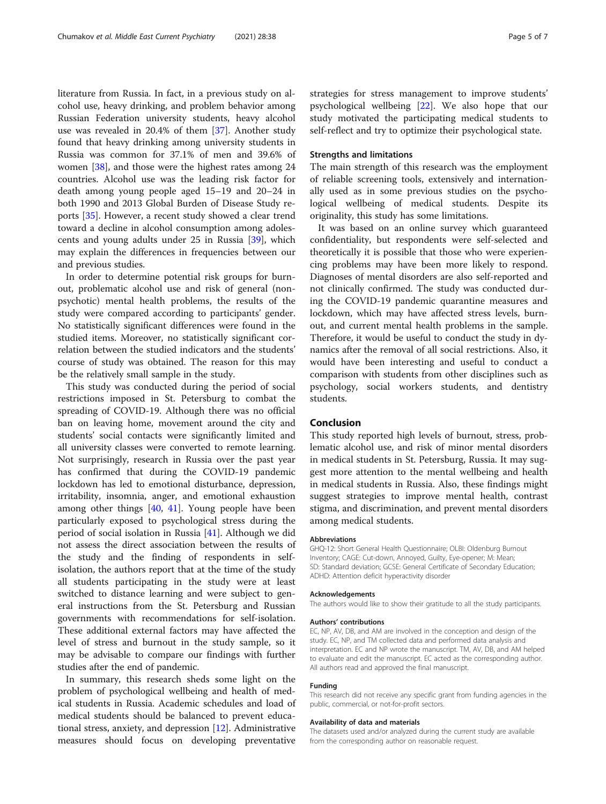literature from Russia. In fact, in a previous study on alcohol use, heavy drinking, and problem behavior among Russian Federation university students, heavy alcohol use was revealed in 20.4% of them [\[37](#page-6-0)]. Another study found that heavy drinking among university students in Russia was common for 37.1% of men and 39.6% of women [\[38](#page-6-0)], and those were the highest rates among 24 countries. Alcohol use was the leading risk factor for death among young people aged 15–19 and 20–24 in both 1990 and 2013 Global Burden of Disease Study reports [[35\]](#page-6-0). However, a recent study showed a clear trend toward a decline in alcohol consumption among adolescents and young adults under 25 in Russia [[39\]](#page-6-0), which may explain the differences in frequencies between our and previous studies.

In order to determine potential risk groups for burnout, problematic alcohol use and risk of general (nonpsychotic) mental health problems, the results of the study were compared according to participants' gender. No statistically significant differences were found in the studied items. Moreover, no statistically significant correlation between the studied indicators and the students' course of study was obtained. The reason for this may be the relatively small sample in the study.

This study was conducted during the period of social restrictions imposed in St. Petersburg to combat the spreading of COVID-19. Although there was no official ban on leaving home, movement around the city and students' social contacts were significantly limited and all university classes were converted to remote learning. Not surprisingly, research in Russia over the past year has confirmed that during the COVID-19 pandemic lockdown has led to emotional disturbance, depression, irritability, insomnia, anger, and emotional exhaustion among other things [\[40](#page-6-0), [41\]](#page-6-0). Young people have been particularly exposed to psychological stress during the period of social isolation in Russia [[41](#page-6-0)]. Although we did not assess the direct association between the results of the study and the finding of respondents in selfisolation, the authors report that at the time of the study all students participating in the study were at least switched to distance learning and were subject to general instructions from the St. Petersburg and Russian governments with recommendations for self-isolation. These additional external factors may have affected the level of stress and burnout in the study sample, so it may be advisable to compare our findings with further studies after the end of pandemic.

In summary, this research sheds some light on the problem of psychological wellbeing and health of medical students in Russia. Academic schedules and load of medical students should be balanced to prevent educational stress, anxiety, and depression [\[12\]](#page-5-0). Administrative measures should focus on developing preventative strategies for stress management to improve students' psychological wellbeing [[22\]](#page-5-0). We also hope that our study motivated the participating medical students to self-reflect and try to optimize their psychological state.

#### Strengths and limitations

The main strength of this research was the employment of reliable screening tools, extensively and internationally used as in some previous studies on the psychological wellbeing of medical students. Despite its originality, this study has some limitations.

It was based on an online survey which guaranteed confidentiality, but respondents were self-selected and theoretically it is possible that those who were experiencing problems may have been more likely to respond. Diagnoses of mental disorders are also self-reported and not clinically confirmed. The study was conducted during the COVID-19 pandemic quarantine measures and lockdown, which may have affected stress levels, burnout, and current mental health problems in the sample. Therefore, it would be useful to conduct the study in dynamics after the removal of all social restrictions. Also, it would have been interesting and useful to conduct a comparison with students from other disciplines such as psychology, social workers students, and dentistry students.

#### Conclusion

This study reported high levels of burnout, stress, problematic alcohol use, and risk of minor mental disorders in medical students in St. Petersburg, Russia. It may suggest more attention to the mental wellbeing and health in medical students in Russia. Also, these findings might suggest strategies to improve mental health, contrast stigma, and discrimination, and prevent mental disorders among medical students.

#### Abbreviations

GHQ-12: Short General Health Questionnaire; OLBI: Oldenburg Burnout Inventory; CAGE: Cut-down, Annoyed, Guilty, Eye-opener; M: Mean; SD: Standard deviation; GCSE: General Certificate of Secondary Education; ADHD: Attention deficit hyperactivity disorder

#### Acknowledgements

The authors would like to show their gratitude to all the study participants.

#### Authors' contributions

EC, NP, AV, DB, and AM are involved in the conception and design of the study. EC, NP, and TM collected data and performed data analysis and interpretation. EC and NP wrote the manuscript. TM, AV, DB, and AM helped to evaluate and edit the manuscript. EC acted as the corresponding author. All authors read and approved the final manuscript.

#### Funding

This research did not receive any specific grant from funding agencies in the public, commercial, or not-for-profit sectors.

#### Availability of data and materials

The datasets used and/or analyzed during the current study are available from the corresponding author on reasonable request.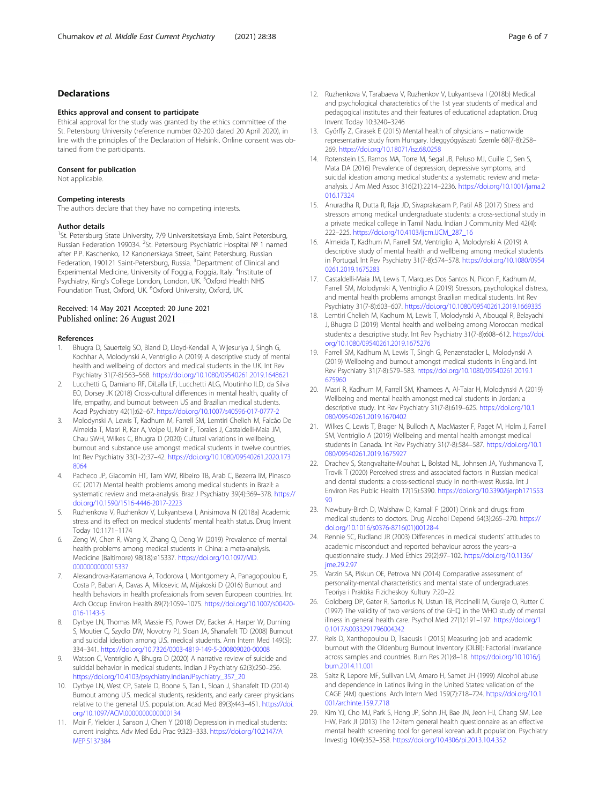#### <span id="page-5-0"></span>Declarations

#### Ethics approval and consent to participate

Ethical approval for the study was granted by the ethics committee of the St. Petersburg University (reference number 02-200 dated 20 April 2020), in line with the principles of the Declaration of Helsinki. Online consent was obtained from the participants.

#### Consent for publication

Not applicable.

## Competing interests

The authors declare that they have no competing interests.

#### Author details

<sup>1</sup>St. Petersburg State University, 7/9 Universitetskaya Emb, Saint Petersburg, Russian Federation 199034. <sup>2</sup>St. Petersburg Psychiatric Hospital № 1 named after P.P. Kaschenko, 12 Kanonerskaya Street, Saint Petersburg, Russian Federation, 190121 Saint-Petersburg, Russia. <sup>3</sup>Department of Clinical and Experimental Medicine, University of Foggia, Foggia, Italy. <sup>4</sup>Institute of Psychiatry, King's College London, London, UK. <sup>5</sup>Oxford Health NHS Foundation Trust, Oxford, UK. <sup>6</sup>Oxford University, Oxford, UK.

#### Received: 14 May 2021 Accepted: 20 June 2021 Published online: 26 August 2021

#### References

- 1. Bhugra D, Sauerteig SO, Bland D, Lloyd-Kendall A, Wijesuriya J, Singh G, Kochhar A, Molodynski A, Ventriglio A (2019) A descriptive study of mental health and wellbeing of doctors and medical students in the UK. Int Rev Psychiatry 31(7-8):563–568. <https://doi.org/10.1080/09540261.2019.1648621>
- 2. Lucchetti G, Damiano RF, DiLalla LF, Lucchetti ALG, Moutinho ILD, da Silva EO, Dorsey JK (2018) Cross-cultural differences in mental health, quality of life, empathy, and burnout between US and Brazilian medical students. Acad Psychiatry 42(1):62–67. <https://doi.org/10.1007/s40596-017-0777-2>
- 3. Molodynski A, Lewis T, Kadhum M, Farrell SM, Lemtiri Chelieh M, Falcão De Almeida T, Masri R, Kar A, Volpe U, Moir F, Torales J, Castaldelli-Maia JM, Chau SWH, Wilkes C, Bhugra D (2020) Cultural variations in wellbeing, burnout and substance use amongst medical students in twelve countries. Int Rev Psychiatry 33(1-2):37–42. [https://doi.org/10.1080/09540261.2020.173](https://doi.org/10.1080/09540261.2020.1738064) [8064](https://doi.org/10.1080/09540261.2020.1738064)
- 4. Pacheco JP, Giacomin HT, Tam WW, Ribeiro TB, Arab C, Bezerra IM, Pinasco GC (2017) Mental health problems among medical students in Brazil: a systematic review and meta-analysis. Braz J Psychiatry 39(4):369–378. [https://](https://doi.org/10.1590/1516-4446-2017-2223) [doi.org/10.1590/1516-4446-2017-2223](https://doi.org/10.1590/1516-4446-2017-2223)
- 5. Ruzhenkova V, Ruzhenkov V, Lukyantseva I, Anisimova N (2018a) Academic stress and its effect on medical students' mental health status. Drug Invent Today 10:1171–1174
- 6. Zeng W, Chen R, Wang X, Zhang Q, Deng W (2019) Prevalence of mental health problems among medical students in China: a meta-analysis. Medicine (Baltimore) 98(18):e15337. [https://doi.org/10.1097/MD.](https://doi.org/10.1097/MD.0000000000015337) [0000000000015337](https://doi.org/10.1097/MD.0000000000015337)
- 7. Alexandrova-Karamanova A, Todorova I, Montgomery A, Panagopoulou E, Costa P, Baban A, Davas A, Milosevic M, Mijakoski D (2016) Burnout and health behaviors in health professionals from seven European countries. Int Arch Occup Environ Health 89(7):1059–1075. [https://doi.org/10.1007/s00420-](https://doi.org/10.1007/s00420-016-1143-5) [016-1143-5](https://doi.org/10.1007/s00420-016-1143-5)
- Dyrbye LN, Thomas MR, Massie FS, Power DV, Eacker A, Harper W, Durning S, Moutier C, Szydlo DW, Novotny PJ, Sloan JA, Shanafelt TD (2008) Burnout and suicidal ideation among U.S. medical students. Ann Intern Med 149(5): 334–341. <https://doi.org/10.7326/0003-4819-149-5-200809020-00008>
- 9. Watson C, Ventriglio A, Bhugra D (2020) A narrative review of suicide and suicidal behavior in medical students. Indian J Psychiatry 62(3):250–256. [https://doi.org/10.4103/psychiatry.IndianJPsychiatry\\_357\\_20](https://doi.org/10.4103/psychiatry.IndianJPsychiatry_357_20)
- 10. Dyrbye LN, West CP, Satele D, Boone S, Tan L, Sloan J, Shanafelt TD (2014) Burnout among U.S. medical students, residents, and early career physicians relative to the general U.S. population. Acad Med 89(3):443–451. [https://doi.](https://doi.org/10.1097/ACM.0000000000000134) [org/10.1097/ACM.0000000000000134](https://doi.org/10.1097/ACM.0000000000000134)
- 11. Moir F, Yielder J, Sanson J, Chen Y (2018) Depression in medical students: current insights. Adv Med Edu Prac 9:323–333. [https://doi.org/10.2147/A](https://doi.org/10.2147/AMEP.S137384) [MEP.S137384](https://doi.org/10.2147/AMEP.S137384)
- 12. Ruzhenkova V, Tarabaeva V, Ruzhenkov V, Lukyantseva I (2018b) Medical and psychological characteristics of the 1st year students of medical and pedagogical institutes and their features of educational adaptation. Drug Invent Today 10:3240–3246
- 13. Győrffy Z, Girasek E (2015) Mental health of physicians nationwide representative study from Hungary. Ideggyógyászati Szemle 68(7-8):258– 269. <https://doi.org/10.18071/isz.68.0258>
- 14. Rotenstein LS, Ramos MA, Torre M, Segal JB, Peluso MJ, Guille C, Sen S, Mata DA (2016) Prevalence of depression, depressive symptoms, and suicidal ideation among medical students: a systematic review and metaanalysis. J Am Med Assoc 316(21):2214–2236. [https://doi.org/10.1001/jama.2](https://doi.org/10.1001/jama.2016.17324) [016.17324](https://doi.org/10.1001/jama.2016.17324)
- 15. Anuradha R, Dutta R, Raja JD, Sivaprakasam P, Patil AB (2017) Stress and stressors among medical undergraduate students: a cross-sectional study in a private medical college in Tamil Nadu. Indian J Community Med 42(4): 222–225. [https://doi.org/10.4103/ijcm.IJCM\\_287\\_16](https://doi.org/10.4103/ijcm.IJCM_287_16)
- 16. Almeida T, Kadhum M, Farrell SM, Ventriglio A, Molodynski A (2019) A descriptive study of mental health and wellbeing among medical students in Portugal. Int Rev Psychiatry 31(7-8):574–578. [https://doi.org/10.1080/0954](https://doi.org/10.1080/09540261.2019.1675283) [0261.2019.1675283](https://doi.org/10.1080/09540261.2019.1675283)
- 17. Castaldelli-Maia JM, Lewis T, Marques Dos Santos N, Picon F, Kadhum M, Farrell SM, Molodynski A, Ventriglio A (2019) Stressors, psychological distress, and mental health problems amongst Brazilian medical students. Int Rev Psychiatry 31(7-8):603–607. <https://doi.org/10.1080/09540261.2019.1669335>
- 18. Lemtiri Chelieh M, Kadhum M, Lewis T, Molodynski A, Abouqal R, Belayachi J, Bhugra D (2019) Mental health and wellbeing among Moroccan medical students: a descriptive study. Int Rev Psychiatry 31(7-8):608–612. [https://doi.](https://doi.org/10.1080/09540261.2019.1675276) [org/10.1080/09540261.2019.1675276](https://doi.org/10.1080/09540261.2019.1675276)
- 19. Farrell SM, Kadhum M, Lewis T, Singh G, Penzenstadler L, Molodynski A (2019) Wellbeing and burnout amongst medical students in England. Int Rev Psychiatry 31(7-8):579–583. [https://doi.org/10.1080/09540261.2019.1](https://doi.org/10.1080/09540261.2019.1675960) [675960](https://doi.org/10.1080/09540261.2019.1675960)
- 20. Masri R, Kadhum M, Farrell SM, Khamees A, Al-Taiar H, Molodynski A (2019) Wellbeing and mental health amongst medical students in Jordan: a descriptive study. Int Rev Psychiatry 31(7-8):619–625. [https://doi.org/10.1](https://doi.org/10.1080/09540261.2019.1670402) [080/09540261.2019.1670402](https://doi.org/10.1080/09540261.2019.1670402)
- 21. Wilkes C, Lewis T, Brager N, Bulloch A, MacMaster F, Paget M, Holm J, Farrell SM, Ventriglio A (2019) Wellbeing and mental health amongst medical students in Canada. Int Rev Psychiatry 31(7-8):584–587. [https://doi.org/10.1](https://doi.org/10.1080/09540261.2019.1675927) [080/09540261.2019.1675927](https://doi.org/10.1080/09540261.2019.1675927)
- 22. Drachev S, Stangvaltaite-Mouhat L, Bolstad NL, Johnsen JA, Yushmanova T, Trovik T (2020) Perceived stress and associated factors in Russian medical and dental students: a cross-sectional study in north-west Russia. Int J Environ Res Public Health 17(15):5390. [https://doi.org/10.3390/ijerph171553](https://doi.org/10.3390/ijerph17155390)  $90$
- 23. Newbury-Birch D, Walshaw D, Kamali F (2001) Drink and drugs: from medical students to doctors. Drug Alcohol Depend 64(3):265–270. [https://](https://doi.org/10.1016/s0376-8716(01)00128-4) [doi.org/10.1016/s0376-8716\(01\)00128-4](https://doi.org/10.1016/s0376-8716(01)00128-4)
- 24. Rennie SC, Rudland JR (2003) Differences in medical students' attitudes to academic misconduct and reported behaviour across the years--a questionnaire study. J Med Ethics 29(2):97–102. [https://doi.org/10.1136/](https://doi.org/10.1136/jme.29.2.97) [jme.29.2.97](https://doi.org/10.1136/jme.29.2.97)
- 25. Varzin SA, Piskun OE, Petrova NN (2014) Comparative assessment of personality-mental characteristics and mental state of undergraduates. Teoriya i Praktika Fizicheskoy Kultury 7:20–22
- 26. Goldberg DP, Gater R, Sartorius N, Ustun TB, Piccinelli M, Gureje O, Rutter C (1997) The validity of two versions of the GHQ in the WHO study of mental illness in general health care. Psychol Med 27(1):191–197. [https://doi.org/1](https://doi.org/10.1017/s0033291796004242) [0.1017/s0033291796004242](https://doi.org/10.1017/s0033291796004242)
- 27. Reis D, Xanthopoulou D, Tsaousis I (2015) Measuring job and academic burnout with the Oldenburg Burnout Inventory (OLBI): Factorial invariance across samples and countries. Burn Res 2(1):8–18. [https://doi.org/10.1016/j.](https://doi.org/10.1016/j.burn.2014.11.001) [burn.2014.11.001](https://doi.org/10.1016/j.burn.2014.11.001)
- 28. Saitz R, Lepore MF, Sullivan LM, Amaro H, Samet JH (1999) Alcohol abuse and dependence in Latinos living in the United States: validation of the CAGE (4M) questions. Arch Intern Med 159(7):718–724. [https://doi.org/10.1](https://doi.org/10.1001/archinte.159.7.718) [001/archinte.159.7.718](https://doi.org/10.1001/archinte.159.7.718)
- 29. Kim YJ, Cho MJ, Park S, Hong JP, Sohn JH, Bae JN, Jeon HJ, Chang SM, Lee HW, Park JI (2013) The 12-item general health questionnaire as an effective mental health screening tool for general korean adult population. Psychiatry Investig 10(4):352–358. <https://doi.org/10.4306/pi.2013.10.4.352>